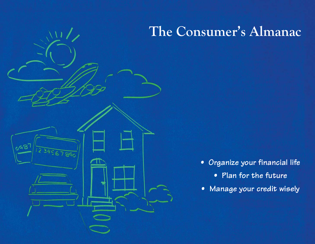# **The Consumer's Almanac**

 $098$ 

- **Organize your financial life**
	- **Plan for the future**
- **Manage your credit wisely**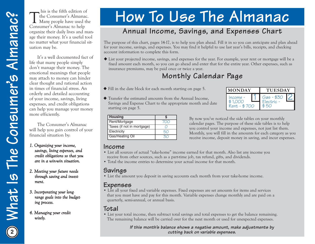This is the fifth edition of<br>The Consumer's Almanac.<br>Many people have used the Consumer's Almanac to help organize their daily lives and manage their money. It's a useful tool no matter what your financial situation may be.

It's a well documented fact of life that many people simply don't manage their money. The emotional meanings that people may attach to money can hinder clear thought and rational action in times of financial stress. An orderly and detailed accounting of your income, savings, living expenses, and credit obligations can help you manage your money more efficiently. Conserve Administration of the conserver and the state of the conserver and the state of the conserver and the state of the conserver and the state of the conserver and the state of the state of the state of the state of

The Consumer's Almanac will help you gain control of your financial situation by:

- *1. Orga nizing your income, sa vings, living expenses, a n d credit obligations so that you are in a win-win situ ation.*
- *2. Meeting your future needs through sa ving a n d in vestment.*
- *3. Incorporating your longra nge goals into the bu dgeting process.*
- *4. M a n aging your credit wisely.*

# **How To Use The Almanac**

# **Annual Income, Savings, and Expenses Chart**

◆ List your projected income, savings, and expenses for the year. For example, your rent or mortgage will be a fixed amount each month, so you can go ahead and enter that for the entire year. Other expenses, such as insurance premiums, may be paid once or twice a year.

# **Monthly Calendar Page**

- ◆ Fill in the date block for each month starting on page 5.
- ◆ Transfer the estimated amounts from the Annual Income, Savings and Expense Chart to the appropriate month and date starting on page 5.

| <b>MONDAY</b>                         | <b>TUESDAY</b>           |  |
|---------------------------------------|--------------------------|--|
| $Income -$<br>\$1,000<br>Rent - \$700 | Gas - \$30<br>Electric - |  |

| <b>Housing</b>             |  |
|----------------------------|--|
| Rent/Mortgage              |  |
| Taxes (if not in mortgage) |  |
| Electricity                |  |
| Gas/Heating Oil            |  |

By now you've noticed the side tables on your monthly calendar pages. The purpose of these side tables is to help you control your income and expenses, not just list them. Monthly, you will fill in the amounts for each category as you receive income, deposit money in saving, and incur expenses.

# **Income**

- List all sources of actual "take-home" income earned for that month. Also list any income you receive from other sources, such as a part-time job, tax refund, gifts, and dividends.
- Total the income entries to determine your actual income for that month.

# **Savings**

• List the amount you deposit in saving accounts each month from your take-home income.

**Expenses**<br>• List all your fixed and variable expenses. Fixed expenses are set amounts for items and services that you must have and pay for this month. Variable expenses change monthly and are paid on a quarterly, semi-annual, or annual basis.

# **Total**

• List your total income, then subtract total savings and total expenses to get the balance remaining. The remaining balance will be carried over for the next month or used for unexpected expenses.

> **If this month's balance shows a negative amount, make adjustments by cutting back on variable expenses.**

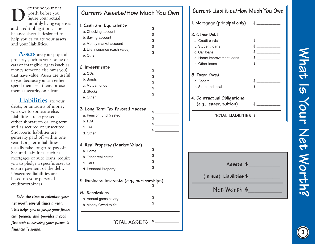etermine your net worth before you figure your actual monthly living expenses and credit obligations. The balance sheet is designed to help you calculate your **assets** and your **liabilities**. **D**

**Assets** are your physical property (such as your home or car) or intangible rights (such as money someone else owes you) that have value. Assets are useful to you because you can either spend them, sell them, or use them as security on a loan.

**Liabilities** are your debts, or amounts of money you owe to someone else. Liabilities are expressed as either short-term or long-term and as secured or unsecured. Short-term liabilities are generally paid off within one year. Long-term liabilities usually take longer to pay off. Secured liabilities, such as mortgages or auto loans, require you to pledge a specific asset to ensure payment of the debt. Unsecured liabilities are based on your personal creditworthiness.

*Ta ke the time to calculate your net worth several times a year. This helps you to ga uge your fin a ncial progress a n d provides a good first step to assuring your future is fin a ncially sou n d.* **<sup>3</sup>**

| Current Assets/How Much You Own            |                                                                                                                                                                                                                                                                                                                                               | Current Liabilities/How Much You Owe |                                                                                                                                                                                                                                                                                                                                                                     |
|--------------------------------------------|-----------------------------------------------------------------------------------------------------------------------------------------------------------------------------------------------------------------------------------------------------------------------------------------------------------------------------------------------|--------------------------------------|---------------------------------------------------------------------------------------------------------------------------------------------------------------------------------------------------------------------------------------------------------------------------------------------------------------------------------------------------------------------|
|                                            |                                                                                                                                                                                                                                                                                                                                               | 1. Mortgage (principal only)         | $\begin{picture}(20,20) \put(0,0){\vector(1,0){100}} \put(15,0){\vector(1,0){100}} \put(15,0){\vector(1,0){100}} \put(15,0){\vector(1,0){100}} \put(15,0){\vector(1,0){100}} \put(15,0){\vector(1,0){100}} \put(15,0){\vector(1,0){100}} \put(15,0){\vector(1,0){100}} \put(15,0){\vector(1,0){100}} \put(15,0){\vector(1,0){100}} \put(15,0){\vector(1,0){100}} \$ |
| 1. Cash and Equivalents                    | $\frac{1}{2}$                                                                                                                                                                                                                                                                                                                                 |                                      |                                                                                                                                                                                                                                                                                                                                                                     |
| a. Checking account                        | $\frac{1}{2}$                                                                                                                                                                                                                                                                                                                                 | 2. Other Debt                        |                                                                                                                                                                                                                                                                                                                                                                     |
| b. Saving account                          | $\frac{1}{2}$                                                                                                                                                                                                                                                                                                                                 | a. Credit cards                      | $\frac{1}{2}$                                                                                                                                                                                                                                                                                                                                                       |
| c. Money market account                    | $\frac{1}{2}$                                                                                                                                                                                                                                                                                                                                 | b. Student loans                     | $\mathbb{S}$                                                                                                                                                                                                                                                                                                                                                        |
| d. Life insurance (cash value)             |                                                                                                                                                                                                                                                                                                                                               | c. Car loans                         | $\frac{1}{2}$                                                                                                                                                                                                                                                                                                                                                       |
| e. Other                                   |                                                                                                                                                                                                                                                                                                                                               | d. Home improvement loans            | $\frac{1}{2}$                                                                                                                                                                                                                                                                                                                                                       |
|                                            |                                                                                                                                                                                                                                                                                                                                               | e. Other loans                       | $\mathbb{S}$                                                                                                                                                                                                                                                                                                                                                        |
| 2. Investments                             | $\frac{1}{2}$                                                                                                                                                                                                                                                                                                                                 |                                      |                                                                                                                                                                                                                                                                                                                                                                     |
| a. CDs                                     | $\frac{1}{2}$                                                                                                                                                                                                                                                                                                                                 | 3. Taxes Owed                        |                                                                                                                                                                                                                                                                                                                                                                     |
| b. Bonds                                   | $\frac{1}{2}$                                                                                                                                                                                                                                                                                                                                 | a. Federal                           | $\frac{1}{2}$                                                                                                                                                                                                                                                                                                                                                       |
| c. Mutual funds                            | $\frac{1}{2}$                                                                                                                                                                                                                                                                                                                                 | b. State and local                   | $\frac{1}{2}$                                                                                                                                                                                                                                                                                                                                                       |
| d. Stocks                                  | $\frac{1}{2}$                                                                                                                                                                                                                                                                                                                                 |                                      |                                                                                                                                                                                                                                                                                                                                                                     |
| e. Other                                   |                                                                                                                                                                                                                                                                                                                                               | 4. Contractual Obligations           |                                                                                                                                                                                                                                                                                                                                                                     |
|                                            |                                                                                                                                                                                                                                                                                                                                               | $(e.g., leases, \text{tution})$      | $\frac{1}{2}$                                                                                                                                                                                                                                                                                                                                                       |
| 3. Long-Term Tax-Favored Assets            | $\frac{1}{2}$                                                                                                                                                                                                                                                                                                                                 |                                      |                                                                                                                                                                                                                                                                                                                                                                     |
| a. Pension fund (vested)                   | $\frac{1}{2}$                                                                                                                                                                                                                                                                                                                                 |                                      | TOTAL LIABILITIES \$                                                                                                                                                                                                                                                                                                                                                |
| b. TDA                                     | $\begin{picture}(20,20) \put(0,0){\line(1,0){100}} \put(15,0){\line(1,0){100}} \put(15,0){\line(1,0){100}} \put(15,0){\line(1,0){100}} \put(15,0){\line(1,0){100}} \put(15,0){\line(1,0){100}} \put(15,0){\line(1,0){100}} \put(15,0){\line(1,0){100}} \put(15,0){\line(1,0){100}} \put(15,0){\line(1,0){100}} \put(15,0){\line(1,0){100}} \$ |                                      |                                                                                                                                                                                                                                                                                                                                                                     |
| c. IRA                                     | $\frac{1}{2}$                                                                                                                                                                                                                                                                                                                                 |                                      |                                                                                                                                                                                                                                                                                                                                                                     |
| d. Other                                   |                                                                                                                                                                                                                                                                                                                                               |                                      |                                                                                                                                                                                                                                                                                                                                                                     |
| 4. Real Property (Market Value)            |                                                                                                                                                                                                                                                                                                                                               |                                      |                                                                                                                                                                                                                                                                                                                                                                     |
| a. Home                                    | $\mathbb{S}$                                                                                                                                                                                                                                                                                                                                  |                                      |                                                                                                                                                                                                                                                                                                                                                                     |
| b. Other real estate                       | $\frac{1}{\sqrt{2}}$                                                                                                                                                                                                                                                                                                                          |                                      |                                                                                                                                                                                                                                                                                                                                                                     |
| c. Cars                                    | $\frac{1}{2}$                                                                                                                                                                                                                                                                                                                                 |                                      | Assets $\frac{1}{2}$                                                                                                                                                                                                                                                                                                                                                |
| d. Personal Property                       | $$^{\circ}$                                                                                                                                                                                                                                                                                                                                   |                                      |                                                                                                                                                                                                                                                                                                                                                                     |
| 5. Business Interests (e.g., partnerships) |                                                                                                                                                                                                                                                                                                                                               | (minus) Liabilities \$               |                                                                                                                                                                                                                                                                                                                                                                     |
|                                            |                                                                                                                                                                                                                                                                                                                                               |                                      |                                                                                                                                                                                                                                                                                                                                                                     |
| 6. Receivables                             |                                                                                                                                                                                                                                                                                                                                               | Net Worth \$                         |                                                                                                                                                                                                                                                                                                                                                                     |
| a. Annual gross salary                     | S                                                                                                                                                                                                                                                                                                                                             |                                      |                                                                                                                                                                                                                                                                                                                                                                     |
| b. Money Owed to You                       | \$                                                                                                                                                                                                                                                                                                                                            |                                      |                                                                                                                                                                                                                                                                                                                                                                     |
|                                            |                                                                                                                                                                                                                                                                                                                                               |                                      |                                                                                                                                                                                                                                                                                                                                                                     |
| TOTAL ASSETS                               | $$$ $-$                                                                                                                                                                                                                                                                                                                                       |                                      |                                                                                                                                                                                                                                                                                                                                                                     |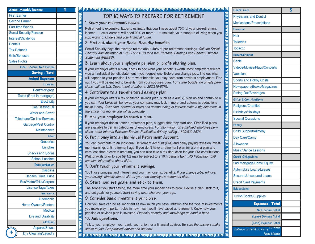| <b>Actual Monthly Income</b>      | \$ |
|-----------------------------------|----|
| <b>First Earner</b>               |    |
| <b>Second Earner</b>              |    |
| <b>Part-time Wages</b>            |    |
| <b>Social Security/Pension</b>    |    |
| <b>Interest/Dividends</b>         |    |
| <b>Rentals</b>                    |    |
| <b>Tax Refunds</b>                |    |
| <b>Gifts/Bonuses</b>              |    |
| <b>Sales Profits</b>              |    |
| Total - Actual Net Income         |    |
| <b>Saving - Total</b>             |    |
| <b>Actual Expenses</b>            |    |
| Housing                           |    |
| Rent/Mortgage                     |    |
| Taxes (if not in mortgage)        |    |
| Electricity                       |    |
| <b>Gas/Heating Oil</b>            |    |
| <b>Water and Sewer</b>            |    |
| <b>Telephone/On-line Services</b> |    |
| Garbage/Pest Control              |    |
| Maintenance                       |    |
| Food                              |    |
| <b>Groceries</b>                  |    |
| Lunches                           |    |
| <b>Snacks and Sodas</b>           |    |
| <b>School Lunches</b>             |    |
| Transportation                    |    |
| Gasoline                          |    |
| Repairs, Tires, Lube              |    |
| <b>Bus/Metro/Tolls/Carpool</b>    |    |
| <b>License Tags/Taxes</b>         |    |
| Insurance                         |    |
| Automobile                        |    |
| <b>Home Owners/Renters</b>        |    |
| <b>Medical</b>                    |    |
| <b>Life and Disability</b>        |    |
| Clothing                          |    |
| Apparel/Shoes                     |    |
| 4<br><b>Dry Cleaning/Laundry</b>  |    |

### **TOP 10 WAYS TO PREPARE FOR RETIREMENT** \$ **Health Care**

### **1. Know your retirement needs.**

림 画画 卮 層 回 ੋਰ 回 回 同 包 同

> 包 包 回 回 厄 靣 包 包

> 밈 ᄆ

> 包 厄 包 厄 包

厄 卮 回 囸 回 回 包 厄 回 回 包 日 回

包 回

包 叵 包 囸 咼 囸

Retirement is expensive. Experts estimate that you'll need about 70% of your pre-retirement income — lower earners will need 90% or more — to maintain your standard of living when you stop working. Understand your financial future.

### **2. Find out about your Social Security benefits.**

Social Security pays the average retiree about 40% of pre-retirement earnings. Call the Social Security Administration at 1-800/772-1213 for a free Personal Earnings and Benefit Estimate Statement (PEBES).

### **3. Learn about your employer's pension or profit sharing plan.**

If your employer offers a plan, check to see what your benefit is worth. Most employers will provide an individual benefit statement if you request one. Before you change jobs, find out what will happen to your pension. Learn what benefits you may have from previous employment. Find out if you will be entitled to benefits from your spouse's plan. For a free booklet on private pensions, call the U.S. Department of Labor at 202/219-8776.

### **4. Contribute to a tax-sheltered savings plan.**

If your employer offers a tax sheltered savings plan, such as a 401(k), sign up and contribute all you can. Your taxes will be lower, your company may kick in more, and automatic deductions make it easy. Over time, deferral of taxes and compounding of interest make a big difference in the amount of money you will accumulate.

### **5. Ask your employer to start a plan.**

If your employer doesn't offer a retirement plan, suggest that they start one. Simplified plans are available to certain categories of employers. For information on simplified employee pensions, order Internal Revenue Service Publication 590 by calling 1-800/829-3676.

### **6. Put money into an Individual Retirement Account.**

You can contribute to an Individual Retirement Account (IRA) and delay paying taxes on investment earnings until retirement age. If you don't have a retirement plan (or are in a plan and earn less than a certain amount), you can also take a tax deduction for your IRA contributions. (Withdrawals prior to age 59 1/2 may be subject to a 10% penalty tax.) IRS Publication 590 contains information about IRAs.

### **7. Don't touch your retirement savings.**

You'll lose principal and interest, and you may lose tax benefits. If you change jobs, roll over your savings directly into an IRA or your new employer's retirement plan.

### **8. Start now, set goals, and stick to them.**

The sooner you start saving, the more time your money has to grow. Devise a plan, stick to it, and set goals for yourself. Start saving now, whatever your age.

### **9. Consider basic investment principles.**

How you save can be as important as how much you save. Inflation and the type of investments you make play important roles in how much you'll have saved at retirement. Know how your pension or savings plan is invested. Financial security and knowledge go hand in hand.

### **10. Ask questions.**

Talk to your employer, your bank, your union, or a financial advisor. Be sure the answers make sense to you. Get practical advice and act now.

| <b>Health Care</b>                  | \$ |
|-------------------------------------|----|
| <b>Physicians and Dentist</b>       |    |
| <b>Medications/Prescriptions</b>    |    |
| Personal                            |    |
| Hair                                |    |
| <b>Toiletries</b>                   |    |
| <b>Tobacco</b>                      |    |
| Entertainment                       |    |
| Cable                               |    |
| Videos/Movies/Plays/Concerts        |    |
| <b>Vacation</b>                     |    |
| <b>Sports and Hobby Costs</b>       |    |
| Newspapers/Books/Magazines          |    |
| <b>Dining Out/Beverages</b>         |    |
| Gifts & Contributions               |    |
| <b>Religious/Charities</b>          |    |
| <b>Birthdays/Holidays</b>           |    |
| <b>Special Occasions</b>            |    |
| Family                              |    |
| <b>Child Support/Alimony</b>        |    |
| Day Care/Camp                       |    |
| <b>Allowance</b>                    |    |
| <b>Music/Dance Lessons</b>          |    |
| Credit Obligations                  |    |
| 2nd Mortgage/Home Equity            |    |
| <b>Automobile Loans/Leases</b>      |    |
| <b>Secured/Unsecured Loans</b>      |    |
| <b>Credit Card Payments</b>         |    |
| <b>Educational</b>                  |    |
| <b>Tuition/Books/Supplies</b>       |    |
| <b>Expenses - Total</b>             |    |
| Net Income Total                    |    |
| (Less) Savings Total                |    |
| (Less) Expense Total                |    |
| orwara<br>Balance or Debit to Carry |    |

रावाचाचाचाचाचाचाचाचाचाचाचाचा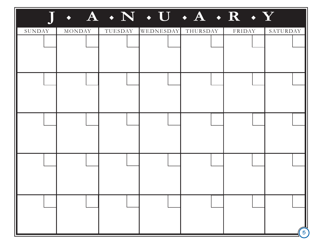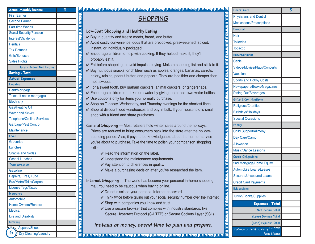| <b>Actual Monthly Income</b>      | \$ |
|-----------------------------------|----|
| <b>First Earner</b>               |    |
| <b>Second Earner</b>              |    |
| Part-time Wages                   |    |
| <b>Social Security/Pension</b>    |    |
| Interest/Dividends                |    |
| <b>Rentals</b>                    |    |
| <b>Tax Refunds</b>                |    |
| <b>Gifts/Bonuses</b>              |    |
| <b>Sales Profits</b>              |    |
| Total - Actual Net Income         |    |
| <b>Saving - Total</b>             |    |
| <b>Actual Expenses</b>            |    |
| Housing                           |    |
| Rent/Mortgage                     |    |
| Taxes (if not in mortgage)        |    |
| Electricity                       |    |
| <b>Gas/Heating Oil</b>            |    |
| <b>Water and Sewer</b>            |    |
| <b>Telephone/On-line Services</b> |    |
| Garbage/Pest Control              |    |
| Maintenance                       |    |
| Food                              |    |
| Groceries                         |    |
| Lunches                           |    |
| <b>Snacks and Sodas</b>           |    |
| School Lunches                    |    |
| Transportation                    |    |
| <b>Gasoline</b>                   |    |
| Repairs, Tires, Lube              |    |
| <b>Bus/Metro/Tolls/Carpool</b>    |    |
| <b>License Tags/Taxes</b>         |    |
| Insurance                         |    |
| Automobile                        |    |
| <b>Home Owners/Renters</b>        |    |
| <b>Medical</b>                    |    |
| <b>Life and Disability</b>        |    |
| Clothing                          |    |
| Apparel/Shoes                     |    |
| 6<br>Dry Cleaning/Laundry         |    |

# **SHOPPING**

\$ **Health Care**

**Low-Cost Shopping and Healthy Eating**

elelelelel

delelelelelelelel

खबाग बाग बाग बाग बाग

包 厄 卮 包 靣 副国

- $\vee$  Buy in quantity and freeze meats, bread, and butter.
- $\checkmark$  Avoid costly convenience foods that are precooked, presweetened, spiced, instant, or individually packaged.
- ✔ Encourage children to help with cooking. If they helped make it, they'll probably eat it.
- $\checkmark$  Eat before shopping to avoid impulse buying. Make a shopping list and stick to it.
- $\checkmark$  Buy nutritious snacks for children such as apples, oranges, bananas, carrots, celery, raisins, peanut butter, and popcorn. They are healthier and cheaper than most sweets.
- $\checkmark$  For a sweet tooth, buy graham crackers, animal crackers, or gingersnaps.
- $\checkmark$  Encourage children to drink more water by giving them their own water bottles.
- $\checkmark$  Use coupons only for items you normally purchase.
- ✔ Shop on Tuesday, Wednesday, and Thursday evenings for the shortest lines.
- ✔ Shop at discount food warehouses and buy in bulk. If your household is small, shop with a friend and share purchases.

**General Shopping** — Most retailers hold winter sales around the holidays. Prices are reduced to bring consumers back into the store after the holidayspending period. Also, it pays to be knowledgeable about the item or service you're about to purchase. Take the time to polish your comparison shopping skills:

- $\vee$  Read the information on the label.
- **✓** Understand the maintenance requirements.
- $\vee$  Pay attention to differences in quality.
- $\vee$  Make a purchasing decision after you've researched the item.

**Internet Shopping** — The world has become your personal in-home shopping mall. You need to be cautious when buying online.

- ✔ Do not disclose your personal Internet password.
- ✔ Think twice before giving out your social security number over the Internet.
- **✓** Shop with companies you know and trust.
- $\vee$  Use a secure browser that complies with industry standards, like Secure Hypertext Protocol (S-HTTP) or Secure Sockets Layer (SSL)

### **Instead of money, spend time to plan and prepare.**

| <b>Health Care</b>                  | \$ |
|-------------------------------------|----|
| <b>Physicians and Dentist</b>       |    |
| <b>Medications/Prescriptions</b>    |    |
| Personal                            |    |
| Hair                                |    |
| <b>Toiletries</b>                   |    |
| <b>Tobacco</b>                      |    |
| Entertainment                       |    |
| Cable                               |    |
| <b>Videos/Movies/Plays/Concerts</b> |    |
| <b>Vacation</b>                     |    |
| <b>Sports and Hobby Costs</b>       |    |
| Newspapers/Books/Magazines          |    |
| <b>Dining Out/Beverages</b>         |    |
| Gifts & Contributions               |    |
| <b>Religious/Charities</b>          |    |
| <b>Birthdays/Holidays</b>           |    |
| <b>Special Occasions</b>            |    |
| Family                              |    |
| <b>Child Support/Alimony</b>        |    |
| Day Care/Camp                       |    |
| <b>Allowance</b>                    |    |
| <b>Music/Dance Lessons</b>          |    |
| Credit Obligations                  |    |
| 2nd Mortgage/Home Equity            |    |
| <b>Automobile Loans/Leases</b>      |    |
| <b>Secured/Unsecured Loans</b>      |    |
| <b>Credit Card Payments</b>         |    |
| Educational                         |    |
| <b>Tuition/Books/Supplies</b>       |    |
| <b>Expenses - Total</b>             |    |
| Net Income Total                    |    |
| (Less) Savings Total                |    |
| (Less) Expense Total                |    |
| Balance or Debit to Carry           |    |
| Next Month                          |    |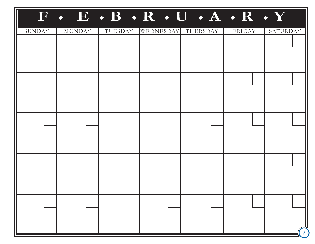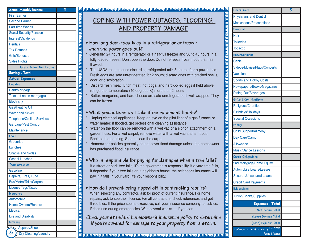| <b>Actual Monthly Income</b>   | \$ |
|--------------------------------|----|
| <b>First Earner</b>            |    |
| <b>Second Earner</b>           |    |
| <b>Part-time Wages</b>         |    |
| <b>Social Security/Pension</b> |    |
| <b>Interest/Dividends</b>      |    |
| <b>Rentals</b>                 |    |
| <b>Tax Refunds</b>             |    |
| Gifts/Bonuses                  |    |
| <b>Sales Profits</b>           |    |
| Total - Actual Net Income      |    |
| <b>Saving - Total</b>          |    |
| <b>Actual Expenses</b>         |    |
| Housing                        |    |
| Rent/Mortgage                  |    |
| Taxes (if not in mortgage)     |    |
| Electricity                    |    |
| <b>Gas/Heating Oil</b>         |    |
| <b>Water and Sewer</b>         |    |
| Telephone/On-line Services     |    |
| Garbage/Pest Control           |    |
| Maintenance                    |    |
| Food                           |    |
| <b>Groceries</b>               |    |
| Lunches                        |    |
| <b>Snacks and Sodas</b>        |    |
| <b>School Lunches</b>          |    |
| Transportation                 |    |
| Gasoline                       |    |
| Repairs, Tires, Lube           |    |
| <b>Bus/Metro/Tolls/Carpool</b> |    |
| <b>License Tags/Taxes</b>      |    |
| Insurance                      |    |
| Automobile                     |    |
| <b>Home Owners/Renters</b>     |    |
| <b>Medical</b>                 |    |
| <b>Life and Disability</b>     |    |
| Clothing                       |    |
| <b>Apparel/Shoes</b>           |    |
| 8<br>Dry Cleaning/Laundry      |    |

# **COPING WITH POWER OUTAGES, FLOODING, AND PROPERTY DAMAGE**

\$ **Health Care**

- فاقا والمروا والمروا والمروا والمروا والمروا والمروا والمروا والمروا والمروا والمروا والمروا والمروا والمروا والمروا والمروا والمروا والمروا والمروا والمروا والمروا والمروا والمروا والمروا والمروا والمروا والمروا والمروا و **• How long does food keep in a refrigerator or freezer when the power goes out?**
	- Generally, 24 hours in a refrigerator or a half-full freezer and 36 to 48 hours in a fully loaded freezer. Don't open the door. Do not refreeze frozen food that has thawed.
	- The USDA recommends discarding refrigerated milk 8 hours after a power loss. Fresh eggs are safe unrefrigerated for 2 hours; discard ones with cracked shells, odor, or discoloration.
	- Discard fresh meat, lunch meat, hot dogs, and hard-boiled eggs if held above refrigerator temperature (40 degrees F.) more than 2 hours.
	- Butter, margarine, and hard cheese are safe unrefrigerated if well wrapped. They can be frozen.

### **• What precautions do I take if my basement floods?**

- Unplug electrical appliances. Keep an eye on the pilot light of a gas furnace or water heater; if flooded, get professional cleaning assistance.
- Water on the floor can be removed with a wet vac or a siphon attachment on a garden hose. For a wet carpet, remove water with a wet vac and air it out. Replace the padding. Steam-clean the carpet.
- Homeowner policies generally do not cover flood damage unless the homeowner has purchased flood insurance.

## **• Who is responsible for paying for damages when a tree falls?**

If a street or park tree falls, it's the government's responsibility. If a yard tree falls, it depends: If your tree falls on a neighbor's house, the neighbor's insurance will pay. If it falls in your yard, it's your responsibility.

### **• How do I prevent being ripped off in contracting repairs?** When selecting any contractor, ask for proof of current insurance. For home repairs, ask to see their license. For all contractors, check references and get three bids. If the price seems excessive, call your insurance company for advice.

Prices rise during emergencies. Wait several weeks — if you can. **Check your standard homeowner's insurance policy to determine if you're covered for damage to your property from a storm.**

| <b>Health Care</b>                   | \$ |
|--------------------------------------|----|
| <b>Physicians and Dentist</b>        |    |
| Medications/Prescriptions            |    |
| Personal                             |    |
| Hair                                 |    |
| <b>Toiletries</b>                    |    |
| <b>Tobacco</b>                       |    |
| Entertainment                        |    |
| Cable                                |    |
| Videos/Movies/Plays/Concerts         |    |
| Vacation                             |    |
| <b>Sports and Hobby Costs</b>        |    |
| Newspapers/Books/Magazines           |    |
| <b>Dining Out/Beverages</b>          |    |
| Gifts & Contributions                |    |
| <b>Religious/Charities</b>           |    |
| <b>Birthdays/Holidays</b>            |    |
| <b>Special Occasions</b>             |    |
| Family                               |    |
| <b>Child Support/Alimony</b>         |    |
| Day Care/Camp                        |    |
| <b>Allowance</b>                     |    |
| <b>Music/Dance Lessons</b>           |    |
| Credit Obligations                   |    |
| 2nd Mortgage/Home Equity             |    |
| <b>Automobile Loans/Leases</b>       |    |
| <b>Secured/Unsecured Loans</b>       |    |
| <b>Credit Card Payments</b>          |    |
| Educational                          |    |
| <b>Tuition/Books/Supplies</b>        |    |
| <b>Expenses - Total</b>              |    |
| Net Income Total                     |    |
| (Less) Savings Total                 |    |
| (Less) Expense Total                 |    |
| rorwara<br>Balance or Debit to Carry |    |
| Next Month                           |    |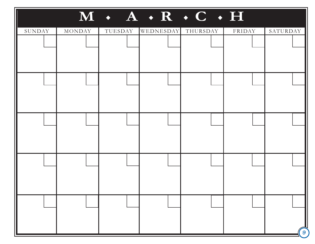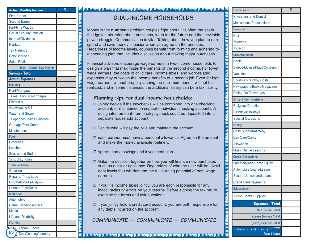| <b>Actual Monthly Income</b>      | \$ |
|-----------------------------------|----|
| <b>First Earner</b>               |    |
| <b>Second Earner</b>              |    |
| <b>Part-time Wages</b>            |    |
| <b>Social Security/Pension</b>    |    |
| Interest/Dividends                |    |
| <b>Rentals</b>                    |    |
| <b>Tax Refunds</b>                |    |
| <b>Gifts/Bonuses</b>              |    |
| <b>Sales Profits</b>              |    |
| Total - Actual Net Income         |    |
| <b>Saving - Total</b>             |    |
| <b>Actual Expenses</b>            |    |
| Housing                           |    |
| Rent/Mortgage                     |    |
| Taxes (if not in mortgage)        |    |
| Electricity                       |    |
| <b>Gas/Heating Oil</b>            |    |
| <b>Water and Sewer</b>            |    |
| <b>Telephone/On-line Services</b> |    |
| Garbage/Pest Control              |    |
| <b>Maintenance</b>                |    |
| Food                              |    |
| <b>Groceries</b>                  |    |
| Lunches                           |    |
| <b>Snacks and Sodas</b>           |    |
| <b>School Lunches</b>             |    |
| Transportation                    |    |
| Gasoline                          |    |
| Repairs, Tires, Lube              |    |
| <b>Bus/Metro/Tolls/Carpool</b>    |    |
| <b>License Tags/Taxes</b>         |    |
| Insurance                         |    |
| Automobile                        |    |
| <b>Home Owners/Renters</b>        |    |
| <b>Medical</b>                    |    |
| <b>Life and Disability</b>        |    |
| Clothing                          |    |
| Apparel/Shoes                     |    |
| 10<br>Dry Cleaning/Laundry        |    |

<u>ागगगगगगगगगगगगगण</u>

<u>den de de la condicional de la condicional de la condicional de la condicional de la condicional de la condici</u>

# **DUAL-INCOME HOUSEHOLDS**

\$ **Health Care**

Money is the **number-1** problem couples fight about. It's often the spark that ignites bickering about ambitions, fears for the future and the inevitable power struggle. Communication is vital. Talking about how you plan to earn, spend and save money is easier when you agree on the priorities. Regardless of income levels, couples benefit from forming and adhering to a spending plan that includes discussion about making major purchases.

Financial advisors encourage wage earners in two-income households to design a plan that maximizes the benefits of the second income. For lower wage earners, the costs of child care, income taxes, and work-related expenses may outweigh the income benefits of a second job. Even for high wage earners, without proper planning the maximum benefit will not be realized, and in some instances, the additional salary can be a tax liability.

### **Planning tips for dual-income households:**

❒ Jointly decide if the paychecks will be combined into one checking account, or maintained in separate individual checking accounts. A designated amount from each paycheck could be deposited into a separate household account.

❒ Decide who will pay the bills and maintain the account.

❒ Each partner must have a personal allowance. Agree on the amount and make the money available routinely.

❒ Agree upon a savings and investment plan.

- ❒ Make the decision together on how you will finance new purchases such as a car or appliance. Regardless of who the user will be, avoid debt levels that will demand the full earning potential of both wage earners.
- ❒ If you file income taxes jointly, you are each responsible for any inaccuracies or errors on your returns. Before signing the tax return, examine the forms and ask questions.
- ❒ If you jointly hold a credit card account, you are both responsible for any debts incurred on the account.

**COMMUNICATE — COMMUNICATE — COMMUNICATE**

| <b>Health Care</b>                   | \$ |
|--------------------------------------|----|
| <b>Physicians and Dentist</b>        |    |
| <b>Medications/Prescriptions</b>     |    |
| Personal                             |    |
| Hair                                 |    |
| <b>Toiletries</b>                    |    |
| <b>Tobacco</b>                       |    |
| Entertainment                        |    |
| Cable                                |    |
| <b>Videos/Movies/Plays/Concerts</b>  |    |
| <b>Vacation</b>                      |    |
| <b>Sports and Hobby Costs</b>        |    |
| Newspapers/Books/Magazines           |    |
| <b>Dining Out/Beverages</b>          |    |
| Gifts & Contributions                |    |
| <b>Religious/Charities</b>           |    |
| <b>Birthdays/Holidays</b>            |    |
| <b>Special Occasions</b>             |    |
| Family                               |    |
| <b>Child Support/Alimony</b>         |    |
| Day Care/Camp                        |    |
| <b>Allowance</b>                     |    |
| <b>Music/Dance Lessons</b>           |    |
| Credit Obligations                   |    |
| 2nd Mortgage/Home Equity             |    |
| <b>Automobile Loans/Leases</b>       |    |
| <b>Secured/Unsecured Loans</b>       |    |
| <b>Credit Card Payments</b>          |    |
| Educational                          |    |
| <b>Tuition/Books/Supplies</b>        |    |
|                                      |    |
| <b>Expenses - Total</b>              |    |
| Net Income Total                     |    |
| (Less) Savings Total                 |    |
| (Less) Expense Total<br><i>rwara</i> |    |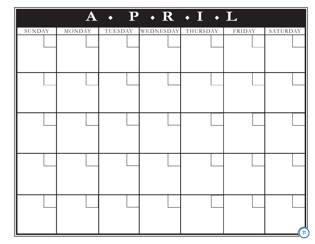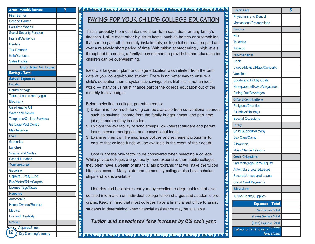| <b>Actual Monthly Income</b>      | \$ |
|-----------------------------------|----|
| <b>First Earner</b>               |    |
| <b>Second Earner</b>              |    |
| <b>Part-time Wages</b>            |    |
| <b>Social Security/Pension</b>    |    |
| <b>Interest/Dividends</b>         |    |
| <b>Rentals</b>                    |    |
| <b>Tax Refunds</b>                |    |
| <b>Gifts/Bonuses</b>              |    |
| <b>Sales Profits</b>              |    |
| Total - Actual Net Income         |    |
| Saving - Total                    |    |
| <b>Actual Expenses</b>            |    |
| Housing                           |    |
| Rent/Mortgage                     |    |
| Taxes (if not in mortgage)        |    |
| Electricity                       |    |
| <b>Gas/Heating Oil</b>            |    |
| <b>Water and Sewer</b>            |    |
| <b>Telephone/On-line Services</b> |    |
| Garbage/Pest Control              |    |
| Maintenance                       |    |
| Food                              |    |
| <b>Groceries</b>                  |    |
| Lunches                           |    |
| <b>Snacks and Sodas</b>           |    |
| <b>School Lunches</b>             |    |
| Transportation                    |    |
| Gasoline                          |    |
| Repairs, Tires, Lube              |    |
| Bus/Metro/Tolls/Carpool           |    |
| <b>License Tags/Taxes</b>         |    |
| Insurance                         |    |
| Automobile                        |    |
| <b>Home Owners/Renters</b>        |    |
| <b>Medical</b>                    |    |
| <b>Life and Disability</b>        |    |
| Clothing                          |    |
| Apparel/Shoes                     |    |
| 12<br>Dry Cleaning/Laundry        |    |

# **PAYING FOR YOUR CHILD'S COLLEGE EDUCATION**

\$ **Health Care**

This is probably the most intensive short-term cash drain on any family's finances. Unlike most other big-ticket items, such as homes or automobiles, that can be paid off in monthly installments, college tuition must be paid out over a relatively short period of time. With tuition at staggeringly high levels throughout the nation, a family's commitment to provide higher education for children can be overwhelming.

Ideally, a long-term plan for college education was initiated from the birth date of your college-bound student. There is no better way to ensure a child's education than a systematic savings plan. But this is not an ideal world — many of us must finance part of the college education out of the monthly family budget.

Before selecting a college, parents need to:

**elelele** 

림 回 卮

包

司 包

包 림 림 阊

elelelelelelelelelel

阊

冋

elelelelelelele

靣 厄 囸

elelelelelel

- 1) Determine how much funding can be available from conventional sources such as savings, income from the family budget, trusts, and part-time jobs, if more money is needed.
- 2) Explore the availability of scholarships, low-interest student and parent loans, second mortgages, and conventional loans.
- 3) Examine their own life insurance polices and retirement programs to ensure that college funds will be available in the event of their death.

Cost is not the only factor to be considered when selecting a college. While private colleges are generally more expensive than public colleges, they often have a wealth of financial aid programs that will make the tuition bite less severe. Many state and community colleges also have scholarships and loans available.

Libraries and bookstores carry many excellent college guides that give detailed information on individual college tuition charges and academic programs. Keep in mind that most colleges have a financial aid office to assist students in determining when financial assistance may be available.

**Tuition and associated fees increase by 6% each year.**

| <b>Health Care</b>                                | \$ |
|---------------------------------------------------|----|
| <b>Physicians and Dentist</b>                     |    |
| Medications/Prescriptions                         |    |
| Personal                                          |    |
| Hair                                              |    |
| <b>Toiletries</b>                                 |    |
| <b>Tobacco</b>                                    |    |
| Entertainment                                     |    |
| Cable                                             |    |
| Videos/Movies/Plays/Concerts                      |    |
| Vacation                                          |    |
| <b>Sports and Hobby Costs</b>                     |    |
| Newspapers/Books/Magazines                        |    |
| <b>Dining Out/Beverages</b>                       |    |
| Gifts & Contributions                             |    |
| <b>Religious/Charities</b>                        |    |
| <b>Birthdays/Holidays</b>                         |    |
| <b>Special Occasions</b>                          |    |
| Family                                            |    |
| <b>Child Support/Alimony</b>                      |    |
| Day Care/Camp                                     |    |
| <b>Allowance</b>                                  |    |
| <b>Music/Dance Lessons</b>                        |    |
| Credit Obligations                                |    |
| 2nd Mortgage/Home Equity                          |    |
| <b>Automobile Loans/Leases</b>                    |    |
| <b>Secured/Unsecured Loans</b>                    |    |
| <b>Credit Card Payments</b>                       |    |
| Educational                                       |    |
| <b>Tuition/Books/Supplies</b>                     |    |
| <b>Expenses - Total</b>                           |    |
| Net Income Total                                  |    |
| (Less) Savings Total                              |    |
| (Less) Expense Total                              |    |
| orwara<br>Balance or Debit to Carry<br>Next Month |    |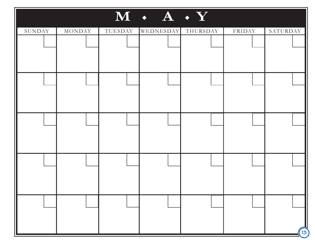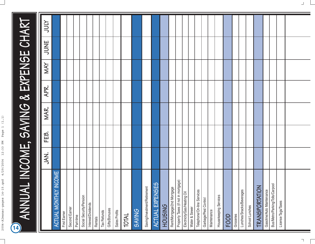# ANNUAL INCOME, SAVING & EXPENSE CHART **ANNUAL INCOME, SAVING & EXPENSE CHART**  $\overline{14}$

|                                     | JAN. | FEB. | MAR. | APR. | NAY | JUNE | <b>ATOC</b> |
|-------------------------------------|------|------|------|------|-----|------|-------------|
| <b>TINCOME</b><br>ACTUAL MONTHL'    |      |      |      |      |     |      |             |
| First Earner                        |      |      |      |      |     |      |             |
| Second Earner                       |      |      |      |      |     |      |             |
| Part-time                           |      |      |      |      |     |      |             |
| Social Security/Pension             |      |      |      |      |     |      |             |
| Interest/Dividends                  |      |      |      |      |     |      |             |
| Rentals                             |      |      |      |      |     |      |             |
| Tax Refunds                         |      |      |      |      |     |      |             |
| Gifts/Bonuses                       |      |      |      |      |     |      |             |
| Sales Profits                       |      |      |      |      |     |      |             |
| TOTAL                               |      |      |      |      |     |      |             |
| <b>SAVING</b>                       |      |      |      |      |     |      |             |
| Saving/Investment/Retirement        |      |      |      |      |     |      |             |
| <b>ACTUAL EXPENSES</b>              |      |      |      |      |     |      |             |
| <b>HOUSING</b>                      |      |      |      |      |     |      |             |
| Rent/Mortgage/2nd Mortgage          |      |      |      |      |     |      |             |
| Property Taxes (if not in mortgage) |      |      |      |      |     |      |             |
| Electricity/Gas/Heating Oil         |      |      |      |      |     |      |             |
| Water & Sewer                       |      |      |      |      |     |      |             |
| Telephone/On-line Services          |      |      |      |      |     |      |             |
| Garbage/Pest Control                |      |      |      |      |     |      |             |
| Maintenance                         |      |      |      |      |     |      |             |
| Housekeeping Services               |      |      |      |      |     |      |             |
| FOOD                                |      |      |      |      |     |      |             |
| Groceries                           |      |      |      |      |     |      |             |
| Lunches/Snacks/Beverages            |      |      |      |      |     |      |             |
| School Lunches                      |      |      |      |      |     |      |             |
| <b>TRANSPORTATION</b>               |      |      |      |      |     |      |             |
| Gasoline/Auto Maintenance           |      |      |      |      |     |      |             |
| Bus/Metro/Parking/Tolls/Carpool     |      |      |      |      |     |      |             |
| License Tags/Taxes                  |      |      |      |      |     |      |             |
|                                     |      |      |      |      |     |      |             |
|                                     |      |      |      |      |     |      |             |

Ξ

 $\begin{array}{c} \hline \end{array}$ 

 $\Box$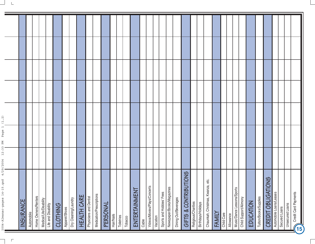$\top$ 

| $\sigma$<br>$\mathbf{\Omega}$<br>4<br>$2004 - A1$ manac-pages $14 - 7$ | $\omega$<br>$\mathbf{\Omega}$<br>2004 | άā<br>ΣĀ | $\alpha$<br>ヒ |  |  |
|------------------------------------------------------------------------|---------------------------------------|----------|---------------|--|--|
| INSURANCE                                                              |                                       |          |               |  |  |
| Automobile                                                             |                                       |          |               |  |  |
| Home Owners/Renters                                                    |                                       |          |               |  |  |
| Medical/Life/Disability                                                |                                       |          |               |  |  |
| Life and Disability                                                    |                                       |          |               |  |  |
| <b>CLOTHING</b>                                                        |                                       |          |               |  |  |
| Apparel/Shoes                                                          |                                       |          |               |  |  |
| Dry Cleaning/Laundry                                                   |                                       |          |               |  |  |
| <b>HEALTH CARE</b>                                                     |                                       |          |               |  |  |
| Physicians and Dentist                                                 |                                       |          |               |  |  |
| Medication/Prescriptions                                               |                                       |          |               |  |  |
| PERSONAL                                                               |                                       |          |               |  |  |
| Hair/Nails                                                             |                                       |          |               |  |  |
| Toiletries                                                             |                                       |          |               |  |  |
| Tobacco                                                                |                                       |          |               |  |  |
| $\vdash$<br>ENTERTAINMEN                                               |                                       |          |               |  |  |
| Cable                                                                  |                                       |          |               |  |  |
| Videos/Movies/Plays/Concerts                                           |                                       |          |               |  |  |
| Vacation                                                               |                                       |          |               |  |  |
| Sports and Hobbies' Fees                                               |                                       |          |               |  |  |
| Newspaper/Books/Magazines                                              |                                       |          |               |  |  |
| Dining Out/Beverages                                                   |                                       |          |               |  |  |
| GIFTS & CONTRIBUTIONS                                                  |                                       |          |               |  |  |
| Religious/Charities                                                    |                                       |          |               |  |  |
| Birthdays/Holidays                                                     |                                       |          |               |  |  |
| nza, etc.<br>Chaunkah, Christmas, Kwar                                 |                                       |          |               |  |  |
| FAMILY                                                                 |                                       |          |               |  |  |
| Child Care                                                             |                                       |          |               |  |  |
| Allowance                                                              |                                       |          |               |  |  |
| Music/Dance Lessons/Sports                                             |                                       |          |               |  |  |
| Child Support/Alimony                                                  |                                       |          |               |  |  |
| EDUCATION                                                              |                                       |          |               |  |  |
| Tuition/Books/Supplies                                                 |                                       |          |               |  |  |
| <b>CREDIT OBLIGATIONS</b>                                              |                                       |          |               |  |  |
| Automobile Loans/Leases                                                |                                       |          |               |  |  |
| Secured Loans                                                          |                                       |          |               |  |  |
| <b>Unsecured Loans</b>                                                 |                                       |          |               |  |  |
| Credit Card Payments                                                   |                                       |          |               |  |  |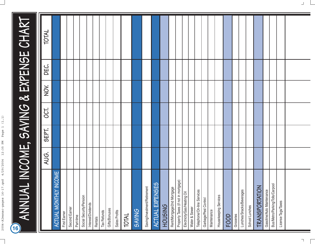# ANNUAL INCOME, SAVING & EXPENSE CHART **ANNUAL INCOME, SAVING & EXPENSE CHART**  $\boxed{16}$

|                                              | AUG. | SEPT. | 00T. | XON | DEC. | TOTAL |
|----------------------------------------------|------|-------|------|-----|------|-------|
| ACTUAL MONTHLY INCOME                        |      |       |      |     |      |       |
| First Earner                                 |      |       |      |     |      |       |
| Second Earner                                |      |       |      |     |      |       |
| Part-time                                    |      |       |      |     |      |       |
| Social Security/Pension                      |      |       |      |     |      |       |
| Interest/Dividends                           |      |       |      |     |      |       |
| Rentals                                      |      |       |      |     |      |       |
| Tax Refunds                                  |      |       |      |     |      |       |
| Gifts/Bonuses                                |      |       |      |     |      |       |
| Sales Profits                                |      |       |      |     |      |       |
| TOTAL                                        |      |       |      |     |      |       |
| <b>SAVING</b>                                |      |       |      |     |      |       |
| Saving/Investment/Retirement                 |      |       |      |     |      |       |
| <b>SES</b><br><b>EXPENS</b><br><b>ACTUAL</b> |      |       |      |     |      |       |
| <b>HOUSING</b>                               |      |       |      |     |      |       |
| Rent/Mortgage/2nd Mortgage                   |      |       |      |     |      |       |
| Property Taxes (if not in mortgage)          |      |       |      |     |      |       |
| Electricity/Gas/Heating Oil                  |      |       |      |     |      |       |
| Water & Sewer                                |      |       |      |     |      |       |
| Telephone/On-line Services                   |      |       |      |     |      |       |
| Garbage/Pest Control                         |      |       |      |     |      |       |
| Maintenance                                  |      |       |      |     |      |       |
| Housekeeping Services                        |      |       |      |     |      |       |
| FOOD                                         |      |       |      |     |      |       |
| Groceries                                    |      |       |      |     |      |       |
| Lunches/Snacks/Beverages                     |      |       |      |     |      |       |
| School Lunches                               |      |       |      |     |      |       |
| $ \xi $<br>TRANSPORTATI                      |      |       |      |     |      |       |
| Gasoline/Auto Maintenance                    |      |       |      |     |      |       |
| Bus/Metro/Parking/Tolls/Carpool              |      |       |      |     |      |       |
| License Tags/Taxes                           |      |       |      |     |      |       |
|                                              |      |       |      |     |      |       |
|                                              |      |       |      |     |      |       |

Ξ

 $\Box$ 

 $\begin{array}{c} \hline \end{array}$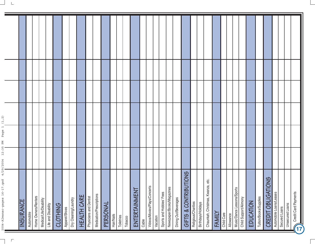$\overline{\phantom{a}}$ 

| $\widehat{\mathcal{N}}$<br>$\overline{\square}$<br>$\mathbb U$<br>Pag                                                                                |                  |            |                     |                         |                     |          |               |                      |                    |                        |                          |          |            |            |         |                   |       |                              |          |                          |                           |                      |                              |                     |                    |                                     |        |            |           |                                                     |           |                        |                           |                         |               |                                                |  |
|------------------------------------------------------------------------------------------------------------------------------------------------------|------------------|------------|---------------------|-------------------------|---------------------|----------|---------------|----------------------|--------------------|------------------------|--------------------------|----------|------------|------------|---------|-------------------|-------|------------------------------|----------|--------------------------|---------------------------|----------------------|------------------------------|---------------------|--------------------|-------------------------------------|--------|------------|-----------|-----------------------------------------------------|-----------|------------------------|---------------------------|-------------------------|---------------|------------------------------------------------|--|
| ΣÑ<br>LO.<br>$\omega$<br>S.<br>$\overline{ }$<br>2004<br>$\sigma$<br>$\mathbf{\Omega}$<br>$\overline{\phantom{a}}$<br>$2004 - A1$ manac-pages $16$ - | <b>INSURANCE</b> | Automobile | Home Owners/Renters | Medical/Life/Disability | Life and Disability | CLOTHING | Apparel/Shoes | Dry Cleaning/Laundry | <b>HEALTH CARE</b> | Physicians and Dentist | Medication/Prescriptions | PERSONAL | Hair/Nails | Toiletries | Tobacco | 戸<br>ENTERTAINMEN | Cable | Videos/Movies/Plays/Concerts | Vacation | Sports and Hobbies' Fees | Newspaper/Books/Magazines | Dining Out/Beverages | BUTIONS<br>& CONTRI<br>GIFTS | Religious/Charities | Birthdays/Holidays | θĊ.<br>Chaunkah, Christmas, Kwanza, | FAMILY | Child Care | Allowance | Music/Dance Lessons/Sports<br>Child Support/Alimony | EDUCATION | Tuition/Books/Supplies | <b>CREDIT OBLIGATIONS</b> | Automobile Loans/Leases | Secured Loans | Credit Card Payments<br><b>Unsecured Loans</b> |  |

Ξ

 $\overline{\phantom{0}}$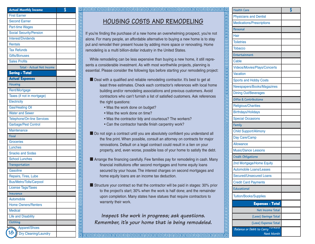| <b>Actual Monthly Income</b>      | \$ |
|-----------------------------------|----|
| <b>First Earner</b>               |    |
| <b>Second Earner</b>              |    |
| <b>Part-time Wages</b>            |    |
| <b>Social Security/Pension</b>    |    |
| <b>Interest/Dividends</b>         |    |
| <b>Rentals</b>                    |    |
| <b>Tax Refunds</b>                |    |
| <b>Gifts/Bonuses</b>              |    |
| <b>Sales Profits</b>              |    |
| Total - Actual Net Income         |    |
| <b>Saving - Total</b>             |    |
| <b>Actual Expenses</b>            |    |
| <b>Housing</b>                    |    |
| Rent/Mortgage                     |    |
| Taxes (if not in mortgage)        |    |
| Electricity                       |    |
| <b>Gas/Heating Oil</b>            |    |
| <b>Water and Sewer</b>            |    |
| Telephone/On-line Services        |    |
| Garbage/Pest Control              |    |
| Maintenance                       |    |
| Food                              |    |
| <b>Groceries</b>                  |    |
| Lunches                           |    |
| <b>Snacks and Sodas</b>           |    |
| <b>School Lunches</b>             |    |
| Transportation                    |    |
| Gasoline                          |    |
| Repairs, Tires, Lube              |    |
| <b>Bus/Metro/Tolls/Carpool</b>    |    |
| <b>License Tags/Taxes</b>         |    |
| Insurance                         |    |
| Automobile                        |    |
| <b>Home Owners/Renters</b>        |    |
| <b>Medical</b>                    |    |
| <b>Life and Disability</b>        |    |
| Clothing                          |    |
| Apparel/Shoes                     |    |
| 18<br><b>Dry Cleaning/Laundry</b> |    |

elelelelel

同

# **HOUSING COSTS AND REMODELING**

**heider besteht der Grenzen der Sternen der Sternen der Sternen der Sternen der Sternen der Sternen der Sternen**<br>In der Sternen der Sternen der Sternen der Sternen der Sternen der Sternen der Sternen der Sternen der Sterne

If you're finding the purchase of a new home an overwhelming prospect, you're not alone. For many people, an affordable alternative to buying a new home is to stay put and remodel their present house by adding more space or renovating. Home remodeling is a multi billion-dollar industry in the United States.

<u>alah perangan pendapan pembana pendapan pendapan pendapan pendapan pendapan pendapan pendapan pendapan pendap</u> While remodeling can be less expensive than buying a new home, it still represents a considerable investment. As with most worthwhile projects, planning is essential. Please consider the following tips before starting your remodeling project:

- Deal with a qualified and reliable remodeling contractor. It's best to get at least three estimates. Check each contractor's references with local home building and/or remodeling associations and previous customers. Avoid contractors who can't furnish a list of satisfied customers. Ask references the right questions:
	- Was the work done on budget?
	- Was the work done on time?
	- Was the contractor tidy and courteous? The workers?
	- Can the contractor handle finish carpentry work?
- Do not sign a contract until you are absolutely confident you understand all the fine print. When possible, consult an attorney on contracts for major renovations. Default on a legal contract could result in a lien on your property, and, even worse, possible loss of your home to satisfy the debt.
- Arrange the financing carefully. Few families pay for remodeling in cash. Many financial institutions offer second mortgages and home equity loans secured by your house. The interest charges on second mortgages and home equity loans are an income tax deduction.
- Structure your contract so that the contractor will be paid in stages: 30% prior to the project's start; 30% when the work is half done; and the remainder upon completion. Many states have statues that require contractors to warranty their work.

**Inspect the work in progress; ask questions. Remember, it's your home that is being remodeled.**

| <b>Health Care</b>                              | \$ |
|-------------------------------------------------|----|
| <b>Physicians and Dentist</b>                   |    |
| <b>Medications/Prescriptions</b>                |    |
| Personal                                        |    |
| Hair                                            |    |
| <b>Toiletries</b>                               |    |
| <b>Tobacco</b>                                  |    |
| Entertainment                                   |    |
| Cable                                           |    |
| Videos/Movies/Plays/Concerts                    |    |
| <b>Vacation</b>                                 |    |
| <b>Sports and Hobby Costs</b>                   |    |
| Newspapers/Books/Magazines                      |    |
| <b>Dining Out/Beverages</b>                     |    |
| Gifts & Contributions                           |    |
| <b>Religious/Charities</b>                      |    |
| <b>Birthdays/Holidays</b>                       |    |
| <b>Special Occasions</b>                        |    |
| Family                                          |    |
| <b>Child Support/Alimony</b>                    |    |
| Day Care/Camp                                   |    |
| <b>Allowance</b>                                |    |
| <b>Music/Dance Lessons</b>                      |    |
| Credit Obligations                              |    |
| 2nd Mortgage/Home Equity                        |    |
| <b>Automobile Loans/Leases</b>                  |    |
| <b>Secured/Unsecured Loans</b>                  |    |
| <b>Credit Card Payments</b>                     |    |
| Educational                                     |    |
| <b>Tuition/Books/Supplies</b>                   |    |
| <b>Expenses - Total</b>                         |    |
| Net Income Total                                |    |
| (Less) Savings Total                            |    |
| (Less) Expense Total                            |    |
|                                                 |    |
| wara<br>Balance or Debit to Carry<br>Next Month |    |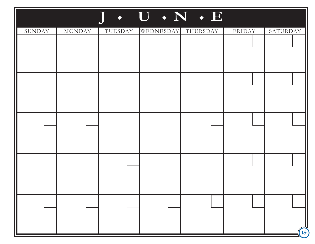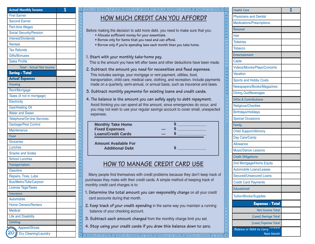| <b>Actual Monthly Income</b>      | \$ |
|-----------------------------------|----|
| <b>First Earner</b>               |    |
| <b>Second Earner</b>              |    |
| <b>Part-time Wages</b>            |    |
| <b>Social Security/Pension</b>    |    |
| Interest/Dividends                |    |
| <b>Rentals</b>                    |    |
| <b>Tax Refunds</b>                |    |
| <b>Gifts/Bonuses</b>              |    |
| <b>Sales Profits</b>              |    |
| Total - Actual Net Income         |    |
| <b>Saving - Total</b>             |    |
| <b>Actual Expenses</b>            |    |
| Housing                           |    |
| Rent/Mortgage                     |    |
| Taxes (if not in mortgage)        |    |
| Electricity                       |    |
| <b>Gas/Heating Oil</b>            |    |
| <b>Water and Sewer</b>            |    |
| <b>Telephone/On-line Services</b> |    |
| Garbage/Pest Control              |    |
| Maintenance                       |    |
| Food                              |    |
| <b>Groceries</b>                  |    |
| Lunches                           |    |
| <b>Snacks and Sodas</b>           |    |
| School Lunches                    |    |
| Transportation                    |    |
| Gasoline                          |    |
| Repairs, Tires, Lube              |    |
| <b>Bus/Metro/Tolls/Carpool</b>    |    |
| <b>License Tags/Taxes</b>         |    |
| Insurance                         |    |
| Automobile                        |    |
| <b>Home Owners/Renters</b>        |    |
| <b>Medical</b>                    |    |
| <b>Life and Disability</b>        |    |
| Clothing                          |    |
| Apparel/Shoes                     |    |
| <b>Dry Cleaning/Laundry</b>       |    |

# **HOW MUCH CREDIT CAN YOU AFFORD?**

\$ **Health Care**

Before making the decision to add more debt, you need to make sure that you:

- **Allocate sufficient money for your essentials.**
- **Borrow only for items that you need and can afford.**
- **Borrow only if you're spending less each month than you take home.**
- **1. Start with your monthly take-home pay.**

elelelelel

**lalalalalalala** 

**elelelele** 

This is the amount you have left after taxes and other deductions have been made.

- **2. Subtract the amount you need for necessities and fixed expenses.** This includes savings, your mortgage or rent payment, utilities, food, transportation, child care, medical care, clothing, and recreation. Include payments made on a quarterly, semi-annual, or annual basis, such as insurance and taxes.
- **3. Subtract monthly payments for existing loans and credit cards.**
- **4. The balance is the amount you can safely apply to debt repayment.** Avoid thinking you can spend all this amount, since emergencies do occur, and you may not wish to use your regular savings account to cover small, unexpected expenses.

| <b>Monthly Take Home</b>  |  |
|---------------------------|--|
| <b>Fixed Expenses</b>     |  |
| <b>Loans/Credit Cards</b> |  |
|                           |  |

**Amount Available For Additional Debt**

**\$ \_\_\_\_\_\_\_\_\_\_\_\_\_**

# **HOW TO MANAGE CREDIT CARD USE**

Many people find themselves with credit problems because they don't keep track of purchases they make with their credit cards. A simple method of keeping track of monthly credit card charges is to:

- **1. Determine the total amount you can responsibly charge** on all your credit card accounts during that month.
- **2. Keep track of your credit spending** in the same way you maintain a running balance of your checking account.

- **3. Subtract each amount charged** from the monthly charge limit you set.
- **4. Stop using your credit cards if you draw this balance down to zero.**

| <b>Health Care</b>                   | \$ |
|--------------------------------------|----|
| <b>Physicians and Dentist</b>        |    |
| <b>Medications/Prescriptions</b>     |    |
| Personal                             |    |
| Hair                                 |    |
| <b>Toiletries</b>                    |    |
| <b>Tobacco</b>                       |    |
| Entertainment                        |    |
| Cable                                |    |
| <b>Videos/Movies/Plays/Concerts</b>  |    |
| <b>Vacation</b>                      |    |
| <b>Sports and Hobby Costs</b>        |    |
| Newspapers/Books/Magazines           |    |
| <b>Dining Out/Beverages</b>          |    |
| Gifts & Contributions                |    |
| <b>Religious/Charities</b>           |    |
| <b>Birthdays/Holidays</b>            |    |
| <b>Special Occasions</b>             |    |
| Family                               |    |
| <b>Child Support/Alimony</b>         |    |
| Day Care/Camp                        |    |
| <b>Allowance</b>                     |    |
| <b>Music/Dance Lessons</b>           |    |
| Credit Obligations                   |    |
| 2nd Mortgage/Home Equity             |    |
| <b>Automobile Loans/Leases</b>       |    |
| <b>Secured/Unsecured Loans</b>       |    |
| <b>Credit Card Payments</b>          |    |
| Educational                          |    |
| <b>Tuition/Books/Supplies</b>        |    |
| <b>Expenses - Total</b>              |    |
| Net Income Total                     |    |
| (Less) Savings Total                 |    |
| (Less) Expense Total                 |    |
| rorwara<br>Balance or Debit to Carry |    |
| Next Month                           |    |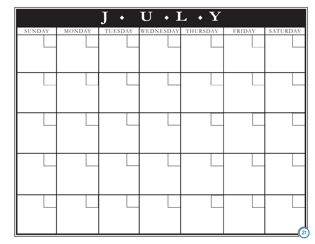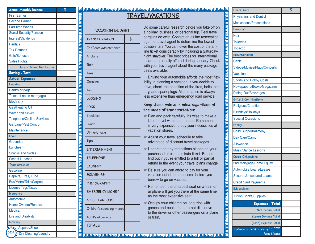| <b>Actual Monthly Income</b>      | \$ |
|-----------------------------------|----|
| <b>First Earner</b>               |    |
| <b>Second Earner</b>              |    |
| <b>Part-time Wages</b>            |    |
| <b>Social Security/Pension</b>    |    |
| Interest/Dividends                |    |
| <b>Rentals</b>                    |    |
| <b>Tax Refunds</b>                |    |
| <b>Gifts/Bonuses</b>              |    |
| <b>Sales Profits</b>              |    |
| Total - Actual Net Income         |    |
| <b>Saving - Total</b>             |    |
| <b>Actual Expenses</b>            |    |
| Housing                           |    |
| Rent/Mortgage                     |    |
| Taxes (if not in mortgage)        |    |
| Electricity                       |    |
| <b>Gas/Heating Oil</b>            |    |
| <b>Water and Sewer</b>            |    |
| <b>Telephone/On-line Services</b> |    |
| Garbage/Pest Control              |    |
| Maintenance                       |    |
| Food                              |    |
| <b>Groceries</b>                  |    |
| Lunches                           |    |
| <b>Snacks and Sodas</b>           |    |
| <b>School Lunches</b>             |    |
| Transportation                    |    |
| Gasoline                          |    |
| Repairs, Tires, Lube              |    |
| <b>Bus/Metro/Tolls/Carpool</b>    |    |
| <b>License Tags/Taxes</b>         |    |
| <b>Insurance</b>                  |    |
| Automobile                        |    |
| <b>Home Owners/Renters</b>        |    |
| <b>Medical</b>                    |    |
| <b>Life and Disability</b>        |    |
| Clothing                          |    |
| Apparel/Shoes                     |    |
| <b>Dry Cleaning/Laundry</b>       |    |

# **TRAVEL/VA C ATIONS**

\$ **Health Care**

# **VACATION BUDGET TRANSPORTATION** \$ Car/Rental/Maintenance Airplane **Train Taxis Gasoline Tolls LODGING FOOD** Breakfast Lunch Dinner/Snacks **Tips ENTERTAINMENT TELEPHONE LAUNDRY SOUVENIRS PHOTOGRAPHY EMERGENCY MONEY MISCELLANEOUS** Children's spending money Adult's allowance **TOTALS**

림

<u>गगगगणगणगणगणानामण</u>

包 靣 匸 包 囸 囸

elelelelel

Do some careful research before you take off on a holiday, business, or personal trip. Real travel bargains do exist. Contact an airline reservation agent or travel agent to determine the lowest possible fare. You can lower the cost of the airline ticket considerably by including a Saturdaynight stayover. The best prices for international airfare are usually offered during January. Check with your travel agent about the many package deals available.

Driving your automobile affords the most flexibility in planning a vacation. If you decide to drive, check the condition of the tires, belts, battery, and spark plugs. Maintenance is always less expensive than emergency road service.

### **Keep these points in mind regardless of the mode of transportation:**

- ☞ Plan and pack carefully. It's wise to make a list of travel wants and needs. Remember, it is very expensive to buy your necessities at vacation stores.
- ☞ Adjust your travel schedule to take advantage of discount travel packages.
- ☞ Understand any restrictions placed on your purchased airplane or train ticket. Be sure to find out if you're entitled to a full or partial refund in the event your travel plans change.
- ☞ Be sure you can afford to pay for your vacation out of future income before you borrow to go on vacation.
- ☞ Remember, the cheapest seat on a train or airplane will get you there at the same time as the most expensive seat.
- ☞ Occupy your children on long trips with games and books that are not disruptive to the driver or other passengers on a plane or train.

| <b>Health Care</b>               | \$ |
|----------------------------------|----|
| <b>Physicians and Dentist</b>    |    |
| <b>Medications/Prescriptions</b> |    |
| Personal                         |    |
| Hair                             |    |
| <b>Toiletries</b>                |    |
| <b>Tobacco</b>                   |    |
| Entertainment                    |    |
| Cable                            |    |
| Videos/Movies/Plays/Concerts     |    |
| <b>Vacation</b>                  |    |
| <b>Sports and Hobby Costs</b>    |    |
| Newspapers/Books/Magazines       |    |
| <b>Dining Out/Beverages</b>      |    |
| Gifts & Contributions            |    |
| <b>Religious/Charities</b>       |    |
| <b>Birthdays/Holidays</b>        |    |
| <b>Special Occasions</b>         |    |
| Family                           |    |
| <b>Child Support/Alimony</b>     |    |
| Day Care/Camp                    |    |
| Allowance                        |    |
| <b>Music/Dance Lessons</b>       |    |
| <b>Credit Obligations</b>        |    |
| 2nd Mortgage/Home Equity         |    |
| <b>Automobile Loans/Leases</b>   |    |
|                                  |    |
| <b>Secured/Unsecured Loans</b>   |    |
| <b>Credit Card Payments</b>      |    |
| <b>Educational</b>               |    |
| <b>Tuition/Books/Supplies</b>    |    |
| <b>Expenses - Total</b>          |    |
| Net Income Total                 |    |
| (Less) Savings Total             |    |
| (Less) Expense Total<br>rorwara  |    |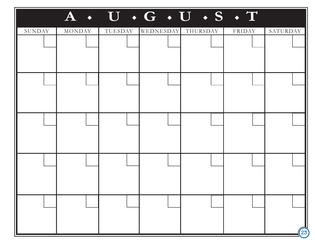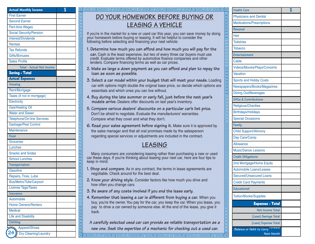| <b>Actual Monthly Income</b>   | \$ |
|--------------------------------|----|
| <b>First Earner</b>            |    |
| <b>Second Earner</b>           |    |
| <b>Part-time Wages</b>         |    |
| <b>Social Security/Pension</b> |    |
| <b>Interest/Dividends</b>      |    |
| <b>Rentals</b>                 |    |
| <b>Tax Refunds</b>             |    |
| <b>Gifts/Bonuses</b>           |    |
| <b>Sales Profits</b>           |    |
| Total - Actual Net Income      |    |
| <b>Saving - Total</b>          |    |
| <b>Actual Expenses</b>         |    |
| Housing                        |    |
| Rent/Mortgage                  |    |
| Taxes (if not in mortgage)     |    |
| Electricity                    |    |
| <b>Gas/Heating Oil</b>         |    |
| <b>Water and Sewer</b>         |    |
| Telephone/On-line Services     |    |
| Garbage/Pest Control           |    |
| Maintenance                    |    |
| Food                           |    |
| <b>Groceries</b>               |    |
| Lunches                        |    |
| <b>Snacks and Sodas</b>        |    |
| <b>School Lunches</b>          |    |
| Transportation                 |    |
| <b>Gasoline</b>                |    |
| Repairs, Tires, Lube           |    |
| <b>Bus/Metro/Tolls/Carpool</b> |    |
| <b>License Tags/Taxes</b>      |    |
| Insurance                      |    |
| Automobile                     |    |
| <b>Home Owners/Renters</b>     |    |
| <b>Medical</b>                 |    |
| <b>Life and Disability</b>     |    |
| Clothing                       |    |
| Apparel/Shoes                  |    |
| <b>Dry Cleaning/Laundry</b>    |    |

# **DO YOUR HOMEWORK BEFORE BUYING OR LEASING A VEHICLE**

\$ **Health Care**

If you're in the market for a new or used car this year, you can save money by doing your homework before buying or leasing. It will be helpful to consider the following before selecting and financing your next vehicle:

- **1. Determine how much you can afford and how much you will pay for the car.** Cash is the least expensive, but two of every three car buyers must use credit. Evaluate terms offered by automotive finance companies and other lenders. Compare financing terms as well as car prices.
- **2. Make as large a down payment as you can afford and plan to repay the loan as soon as possible.**
- **3. Select a car model within your budget that will meet your needs.** Loading car with options might double the original base price, so decide which options are essentials and which ones you can live without.
- **4. Buy during the late summer or early fall, just before the next year's models arrive.** Dealers offer discounts on last year's inventory.
- **5. Compare various dealers' discounts on a particular car's list price.** Don't be afraid to negotiate. Evaluate the manufacturers' warranties. Compare what they cover and what they don't.
- **6. Read your sales agreement before signing it.** Make sure it is approved by the sales manager and that all oral promises made by the salesperson regarding special services or adjustments are included in the contract.

# **LEASING**

Many consumers are considering leasing rather than purchasing a new or used car these days. If you're thinking about leasing your next car, here are four tips to keep in mind:

- **1. Shop and compare.** As in any contract, the terms in lease agreements are negotiable. Check around for the best deal.
- **2. Know your driving style.** Consider factors like how much you drive and how often you change cars.
- **3. Be aware of any costs involved if you end the lease early.**
- **4. Remember that leasing a car is different from buying a car.** When you buy, you're the owner. You pay for the car, you keep the car. When you lease, you pay to drive a car owned by someone else. At the end of the lease, you give it back.

**A carefully selected used car can provide as reliable transportation as a new one. Seek the expertise of a mechanic for checking out a used car.**

| <b>Health Care</b>                  | \$ |
|-------------------------------------|----|
| <b>Physicians and Dentist</b>       |    |
| <b>Medications/Prescriptions</b>    |    |
| Personal                            |    |
| Hair                                |    |
| <b>Toiletries</b>                   |    |
| <b>Tobacco</b>                      |    |
| Entertainment                       |    |
| Cable                               |    |
| <b>Videos/Movies/Plays/Concerts</b> |    |
| <b>Vacation</b>                     |    |
| <b>Sports and Hobby Costs</b>       |    |
| Newspapers/Books/Magazines          |    |
| <b>Dining Out/Beverages</b>         |    |
| Gifts & Contributions               |    |
| <b>Religious/Charities</b>          |    |
| <b>Birthdays/Holidays</b>           |    |
| <b>Special Occasions</b>            |    |
| Family                              |    |
| <b>Child Support/Alimony</b>        |    |
| Day Care/Camp                       |    |
| <b>Allowance</b>                    |    |
| <b>Music/Dance Lessons</b>          |    |
| Credit Obligations                  |    |
| 2nd Mortgage/Home Equity            |    |
| <b>Automobile Loans/Leases</b>      |    |
| <b>Secured/Unsecured Loans</b>      |    |
| <b>Credit Card Payments</b>         |    |
| Educational                         |    |
| <b>Tuition/Books/Supplies</b>       |    |
| <b>Expenses - Total</b>             |    |
| Net Income Total                    |    |
| (Less) Savings Total                |    |
| (Less) Expense Total                |    |
| rwara<br>Balance or Debit to Carry  |    |
| <b>Next Month</b>                   |    |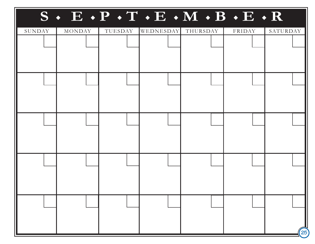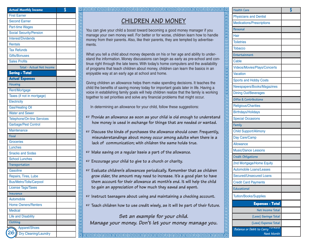| <b>Actual Monthly Income</b>      | \$ |
|-----------------------------------|----|
| <b>First Earner</b>               |    |
| <b>Second Earner</b>              |    |
| <b>Part-time Wages</b>            |    |
| <b>Social Security/Pension</b>    |    |
| <b>Interest/Dividends</b>         |    |
| <b>Rentals</b>                    |    |
| <b>Tax Refunds</b>                |    |
| <b>Gifts/Bonuses</b>              |    |
| <b>Sales Profits</b>              |    |
| Total - Actual Net Income         |    |
| <b>Saving - Total</b>             |    |
| <b>Actual Expenses</b>            |    |
| Housing                           |    |
| Rent/Mortgage                     |    |
| Taxes (if not in mortgage)        |    |
| Electricity                       |    |
| <b>Gas/Heating Oil</b>            |    |
| <b>Water and Sewer</b>            |    |
| <b>Telephone/On-line Services</b> |    |
| Garbage/Pest Control              |    |
| <b>Maintenance</b>                |    |
| Food                              |    |
| <b>Groceries</b>                  |    |
| Lunches                           |    |
| <b>Snacks and Sodas</b>           |    |
| <b>School Lunches</b>             |    |
| Transportation                    |    |
| <b>Gasoline</b>                   |    |
| Repairs, Tires, Lube              |    |
| <b>Bus/Metro/Tolls/Carpool</b>    |    |
| <b>License Tags/Taxes</b>         |    |
| Insurance                         |    |
| Automobile                        |    |
| <b>Home Owners/Renters</b>        |    |
| <b>Medical</b>                    |    |
| <b>Life and Disability</b>        |    |
| Clothing                          |    |
| Apparel/Shoes                     |    |
| Dry Cleaning/Laundry              |    |

**releieleie** 

elelelel

**Plalal** 

回 回 阊 回

**Pleieleim** 

冒回

<u>गगगगणना जन्नान पान गणना गणना गणना गणना ग</u>

# **CHILDREN AND MONEY**

**heider besteht der Grenzen der Sternen der Sternen der Sternen der Sternen der Sternen der Sternen der Sternen**<br>In der Sternen der Sternen der Sternen der Sternen der Sternen der Sternen der Sternen der Sternen der Sterne

You can give your child a boost toward becoming a good money manager if you manage your own money well. For better or for worse, children learn how to handle money from their parents. Also, like their parents, they are tempted by advertisements.

What you tell a child about money depends on his or her age and ability to understand the information. Money discussions can begin as early as pre-school and continue right through the late teens. With today's home computers and the availability of programs that teach children about money, children can learn the basics in an enjoyable way at an early age at school and home.

Giving children an allowance helps them make spending decisions. It teaches the child the benefits of saving money today for important goals later in life. Having a voice in establishing family goals will help children realize that the family is working together to set priorities and solve any financial problems that might occur.

In determining an allowance for your child, follow these suggestions:

- ☞ **Provide an allowance as soon as your child is old enough to understand how money is used in exchange for things that are needed or wanted.**
- ☞ **Discuss the kinds of purchases the allowance should cover. Frequently, misunderstandings about money occur among adults when there is a lack of communication; with children the same holds true.**
- ☞ **Make saving on a regular basis a part of the allowance.**
- ☞ **Encourage your child to give to a church or charity.**
- ☞ **Evaluate children's allowances periodically. Remember that as children grow older, the amount may need to increase. It's a good plan to have them account for their allowance at month's end. It will help the child to gain an appreciation of how much they saved and spent.**
- ☞ **Instruct teenagers about using and maintaining a checking account.**
- ☞ **Teach children how to use credit wisely, as it will be part of their future.**

## **Set an example for your child. Manage your money. Don't let your money manage you.**

| <b>Health Care</b>                  | \$ |
|-------------------------------------|----|
| <b>Physicians and Dentist</b>       |    |
| <b>Medications/Prescriptions</b>    |    |
| Personal                            |    |
| Hair                                |    |
| <b>Toiletries</b>                   |    |
| <b>Tobacco</b>                      |    |
| Entertainment                       |    |
| Cable                               |    |
| <b>Videos/Movies/Plays/Concerts</b> |    |
| <b>Vacation</b>                     |    |
| <b>Sports and Hobby Costs</b>       |    |
| Newspapers/Books/Magazines          |    |
| <b>Dining Out/Beverages</b>         |    |
| Gifts & Contributions               |    |
| <b>Religious/Charities</b>          |    |
| <b>Birthdays/Holidays</b>           |    |
| <b>Special Occasions</b>            |    |
| Family                              |    |
| <b>Child Support/Alimony</b>        |    |
| Day Care/Camp                       |    |
| <b>Allowance</b>                    |    |
| <b>Music/Dance Lessons</b>          |    |
| Credit Obligations                  |    |
| 2nd Mortgage/Home Equity            |    |
| <b>Automobile Loans/Leases</b>      |    |
| <b>Secured/Unsecured Loans</b>      |    |
| <b>Credit Card Payments</b>         |    |
| <b>Educational</b>                  |    |
| <b>Tuition/Books/Supplies</b>       |    |
| <b>Expenses - Total</b>             |    |
|                                     |    |
| Net Income Total                    |    |
| (Less) Savings Total                |    |
| (Less) Expense Total                |    |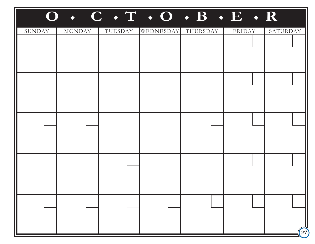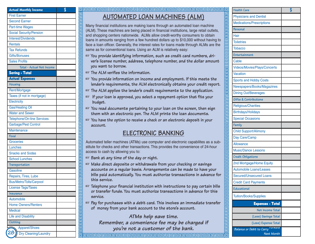| <b>Actual Monthly Income</b>   | \$ |
|--------------------------------|----|
| <b>First Earner</b>            |    |
| <b>Second Earner</b>           |    |
| <b>Part-time Wages</b>         |    |
| Social Security/Pension        |    |
| Interest/Dividends             |    |
| <b>Rentals</b>                 |    |
| <b>Tax Refunds</b>             |    |
| <b>Gifts/Bonuses</b>           |    |
| <b>Sales Profits</b>           |    |
| Total - Actual Net Income      |    |
| <b>Saving - Total</b>          |    |
| <b>Actual Expenses</b>         |    |
| Housing                        |    |
| Rent/Mortgage                  |    |
| Taxes (if not in mortgage)     |    |
| Electricity                    |    |
| <b>Gas/Heating Oil</b>         |    |
| <b>Water and Sewer</b>         |    |
| Telephone/On-line Services     |    |
| Garbage/Pest Control           |    |
| Maintenance                    |    |
| Food                           |    |
| <b>Groceries</b>               |    |
| Lunches                        |    |
| <b>Snacks and Sodas</b>        |    |
| <b>School Lunches</b>          |    |
| Transportation                 |    |
| Gasoline                       |    |
| Repairs, Tires, Lube           |    |
| <b>Bus/Metro/Tolls/Carpool</b> |    |
| <b>License Tags/Taxes</b>      |    |
| Insurance                      |    |
| Automobile                     |    |
| <b>Home Owners/Renters</b>     |    |
| <b>Medical</b>                 |    |
| <b>Life and Disability</b>     |    |
| Clothing                       |    |
| Apparel/Shoes                  |    |
| Dry Cleaning/Laundry           |    |

# \$ **Health Care AUTOMATED L OAN MACHINES (ALM)**

Many financial institutions are making loans through an automated loan machine (ALM). These machines are being placed in financial institutions, large retail outlets, and shopping centers nationwide. ALMs allow credit-worthy consumers to obtain loans in amounts ranging from a few hundred dollars up to \$10,000 without having to face a loan officer. Generally, the interest rates for loans made through ALMs are the same as for conventional loans. Using an ALM is relatively easy:

- ☞ **You provide identifying information, such as credit card numbers, driver's license number, address, telephone number, and the dollar amount you want to borrow.**
- ☞ **The ALM verifies the information.**

囸 **Plainlo** 

包 **Planet** 

elelelelelel

包 昌昌 包 包 回 叵

- ☞ **You provide information on income and employment. If this meets the lender's requirements, the ALM electronically obtains your credit report.**
- elelelelelele ☞ **The ALM applies the lender's credit requirements to the application. Plalag** 
	- ☞ **If your loan is approved, you select a repayment option that fits your budget.**
	- ☞ **You read documents pertaining to your loan on the screen, then sign them with an electronic pen. The ALM prints the loan documents.**
	- ☞ **You have the option to receive a check or an electronic deposit in your account.**

# **ELECTRONIC BANKING**

Automated teller machines (ATMs) use computer and electronic capabilites as a substitute for checks and other transactions. This provides the convenience of 24-hour access to cash by allowing you to:

☞ **Bank at any time of the day or night.**

- ☞ **Make direct deposits or withdrawals from your checking or savings accounts on a regular basis. Arrangements can be made to have your bills paid automatically. You must authorize transactions in advance for this service.**
- ☞ **Telephone your financial institution with instructions to pay certain bills or transfer funds. You must authorize transactions in advance for this service.**
- ☞ **Pay for purchases with a debit card. This involves an immediate transfer of money from your bank account to the store's account.**

**ATMs help save time. Remember, a convenience fee may be charged if you're not a customer of the bank.**

|                                     | \$ |
|-------------------------------------|----|
| <b>Physicians and Dentist</b>       |    |
| <b>Medications/Prescriptions</b>    |    |
| Personal                            |    |
| Hair                                |    |
| <b>Toiletries</b>                   |    |
| <b>Tobacco</b>                      |    |
| Entertainment                       |    |
| Cable                               |    |
| <b>Videos/Movies/Plays/Concerts</b> |    |
| Vacation                            |    |
| <b>Sports and Hobby Costs</b>       |    |
| Newspapers/Books/Magazines          |    |
| <b>Dining Out/Beverages</b>         |    |
| Gifts & Contributions               |    |
| <b>Religious/Charities</b>          |    |
| <b>Birthdays/Holidays</b>           |    |
| <b>Special Occasions</b>            |    |
| Family                              |    |
| <b>Child Support/Alimony</b>        |    |
| Day Care/Camp                       |    |
| <b>Allowance</b>                    |    |
| <b>Music/Dance Lessons</b>          |    |
| <b>Credit Obligations</b>           |    |
| 2nd Mortgage/Home Equity            |    |
| <b>Automobile Loans/Leases</b>      |    |
| Secured/Unsecured Loans             |    |
| <b>Credit Card Payments</b>         |    |
| <b>Educational</b>                  |    |
| <b>Tuition/Books/Supplies</b>       |    |
|                                     |    |
| <b>Expenses - Total</b>             |    |
| Net Income Total                    |    |
| (Less) Savings Total                |    |
| (Less) Expense Total<br>rwara       |    |

त्रियत्रे बाद्याने बाद्याने कार्य कार्य कार्य कार्य कार्य कार्य कार्य कार्य कार्य कार्य कार्य कार्य क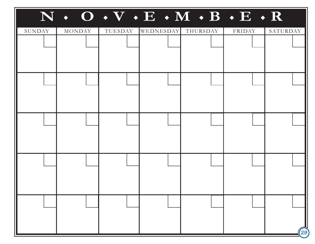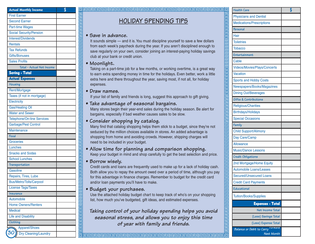| <b>Actual Monthly Income</b>                  | \$ |
|-----------------------------------------------|----|
| <b>First Earner</b>                           |    |
| <b>Second Earner</b>                          |    |
| Part-time Wages                               |    |
| <b>Social Security/Pension</b>                |    |
| Interest/Dividends                            |    |
| <b>Rentals</b>                                |    |
| <b>Tax Refunds</b>                            |    |
| <b>Gifts/Bonuses</b>                          |    |
| <b>Sales Profits</b>                          |    |
| Total - Actual Net Income                     |    |
| <b>Saving - Total</b>                         |    |
| <b>Actual Expenses</b>                        |    |
| Housing                                       |    |
| Rent/Mortgage                                 |    |
| Taxes (if not in mortgage)                    |    |
| Electricity                                   |    |
| Gas/Heating Oil                               |    |
| <b>Water and Sewer</b>                        |    |
| <b>Telephone/On-line Services</b>             |    |
| Garbage/Pest Control                          |    |
| Maintenance                                   |    |
| Food                                          |    |
| <b>Groceries</b>                              |    |
| Lunches                                       |    |
| <b>Snacks and Sodas</b>                       |    |
| <b>School Lunches</b>                         |    |
| Transportation                                |    |
| Gasoline                                      |    |
| Repairs, Tires, Lube                          |    |
| <b>Bus/Metro/Tolls/Carpool</b>                |    |
| License Tags/Taxes                            |    |
| Insurance                                     |    |
| Automobile                                    |    |
| <b>Home Owners/Renters</b>                    |    |
| <b>Medical</b>                                |    |
| <b>Life and Disability</b>                    |    |
| Clothing                                      |    |
| Apparel/Shoes                                 |    |
| $\widehat{30}$<br><b>Dry Cleaning/Laundry</b> |    |

# **HOLID AY SPENDING TIPS**

**heider besteht der Grenzen der Sternen der Sternen der Sternen der Sternen der Sternen der Sternen der Sternen**<br>In der Sternen der Sternen der Sternen der Sternen der Sternen der Sternen der Sternen der Sternen der Sterne

### **• Save in advance.**

It sounds simple — and it is. You must discipline yourself to save a few dollars from each week's paycheck during the year. If you aren't disciplined enough to save regularly on your own, consider joining an interest-paying holiday savings club at your bank or credit union.

### **• Moonlight.**

Taking on a part-time job for a few months, or working overtime, is a great way to earn extra spending money in time for the holidays. Even better, work a little extra here and there throughout the year, saving most, if not all, for holiday expenses.

### **• Draw names.**

If your list of family and friends is long, suggest this approach to gift giving.

### **• Take advantage of seasonal bargains.**

Many stores begin their year-end sales during the holiday season. Be alert for bargains, especially if bad weather causes sales to be slow.

### **• Consider shopping by catalog.**

Many find that catalog shopping helps them stick to a budget, since they're not seduced by the million choices available in stores. An added advantage is shopping from home and avoiding crowds. However, shipping charges will need to be included in your budget.

### **• Allow time for planning and comparison shopping.** Keep your budget in mind and shop carefully to get the best selection and price.

**• Borrow wisely.**

Credit cards and loans are frequently used to make up for a lack of holiday cash. Both allow you to repay the amount owed over a period of time, although you pay for this advantage in finance charges. Remember to budget for the credit card and/or loan payments you'll have to make.

### **• Budget your purchases.**

Use the attached holiday budget chart to keep track of who's on your shopping list, how much you've budgeted, gift ideas, and estimated expenses.

**Taking control of your holiday spending helps you avoid seasonal stress, and allows you to enjoy this time of year with family and friends.**

| <b>Health Care</b>                | \$ |
|-----------------------------------|----|
| <b>Physicians and Dentist</b>     |    |
| <b>Medications/Prescriptions</b>  |    |
| Personal                          |    |
| Hair                              |    |
| <b>Toiletries</b>                 |    |
| <b>Tobacco</b>                    |    |
| Entertainment                     |    |
| Cable                             |    |
| Videos/Movies/Plays/Concerts      |    |
| <b>Vacation</b>                   |    |
| <b>Sports and Hobby Costs</b>     |    |
| Newspapers/Books/Magazines        |    |
| <b>Dining Out/Beverages</b>       |    |
| Gifts & Contributions             |    |
| <b>Religious/Charities</b>        |    |
| <b>Birthdays/Holidays</b>         |    |
| <b>Special Occasions</b>          |    |
| Family                            |    |
| <b>Child Support/Alimony</b>      |    |
| Day Care/Camp                     |    |
| <b>Allowance</b>                  |    |
| <b>Music/Dance Lessons</b>        |    |
| Credit Obligations                |    |
| 2nd Mortgage/Home Equity          |    |
| <b>Automobile Loans/Leases</b>    |    |
| <b>Secured/Unsecured Loans</b>    |    |
| <b>Credit Card Payments</b>       |    |
| Educational                       |    |
| <b>Tuition/Books/Supplies</b>     |    |
| <b>Expenses - Total</b>           |    |
| Net Income Total                  |    |
| (Less) Savings Total              |    |
| (Less) Expense Total              |    |
| wara<br>Balance or Debit to Carry |    |
| Next Month                        |    |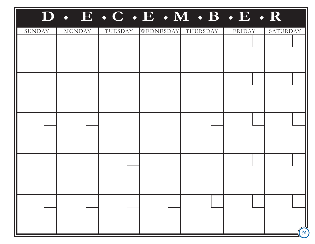